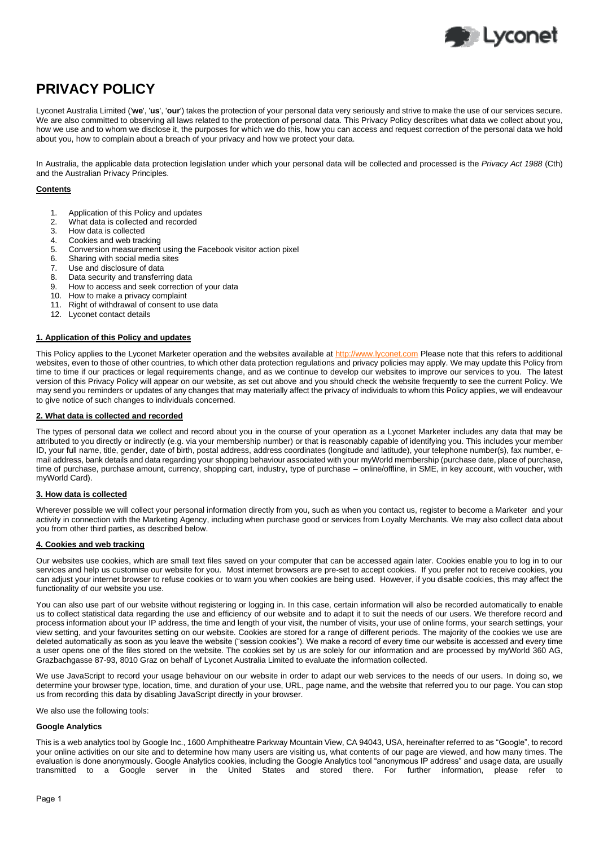

# **PRIVACY POLICY**

Lyconet Australia Limited ('**we**', '**us**', '**our**') takes the protection of your personal data very seriously and strive to make the use of our services secure. We are also committed to observing all laws related to the protection of personal data. This Privacy Policy describes what data we collect about you, how we use and to whom we disclose it, the purposes for which we do this, how you can access and request correction of the personal data we hold about you, how to complain about a breach of your privacy and how we protect your data.

In Australia, the applicable data protection legislation under which your personal data will be collected and processed is the *Privacy Act 1988* (Cth) and the Australian Privacy Principles.

# **Contents**

- 1. Application of this Policy and updates
- 2. What data is collected and recorded
- 3. How data is collected
- 4. Cookies and web tracking
- 5. Conversion measurement using the Facebook visitor action pixel<br>6. Sharing with social media sites
- 6. Sharing with social media sites<br>7. Use and disclosure of data
- Use and disclosure of data
- 8. Data security and transferring data
- 9. How to access and seek correction of your data
- 10. How to make a privacy complaint
- 11. Right of withdrawal of consent to use data
- 12. Lyconet contact details

# **1. Application of this Policy and updates**

This Policy applies to the Lyconet Marketer operation and the websites available at [http://www.lyconet.com](http://www.lyconet.com/) Please note that this refers to additional websites, even to those of other countries, to which other data protection regulations and privacy policies may apply. We may update this Policy from time to time if our practices or legal requirements change, and as we continue to develop our websites to improve our services to you. The latest version of this Privacy Policy will appear on our website, as set out above and you should check the website frequently to see the current Policy. We may send you reminders or updates of any changes that may materially affect the privacy of individuals to whom this Policy applies, we will endeavour to give notice of such changes to individuals concerned.

# **2. What data is collected and recorded**

The types of personal data we collect and record about you in the course of your operation as a Lyconet Marketer includes any data that may be attributed to you directly or indirectly (e.g. via your membership number) or that is reasonably capable of identifying you. This includes your member ID, your full name, title, gender, date of birth, postal address, address coordinates (longitude and latitude), your telephone number(s), fax number, email address, bank details and data regarding your shopping behaviour associated with your myWorld membership (purchase date, place of purchase, time of purchase, purchase amount, currency, shopping cart, industry, type of purchase – online/offline, in SME, in key account, with voucher, with myWorld Card).

# **3. How data is collected**

Wherever possible we will collect your personal information directly from you, such as when you contact us, register to become a Marketer and your activity in connection with the Marketing Agency, including when purchase good or services from Loyalty Merchants. We may also collect data about you from other third parties, as described below.

# **4. Cookies and web tracking**

Our websites use cookies, which are small text files saved on your computer that can be accessed again later. Cookies enable you to log in to our services and help us customise our website for you. Most internet browsers are pre-set to accept cookies. If you prefer not to receive cookies, you can adjust your internet browser to refuse cookies or to warn you when cookies are being used. However, if you disable cookies, this may affect the functionality of our website you use.

You can also use part of our website without registering or logging in. In this case, certain information will also be recorded automatically to enable us to collect statistical data regarding the use and efficiency of our website and to adapt it to suit the needs of our users. We therefore record and process information about your IP address, the time and length of your visit, the number of visits, your use of online forms, your search settings, your view setting, and your favourites setting on our website. Cookies are stored for a range of different periods. The majority of the cookies we use are deleted automatically as soon as you leave the website ("session cookies"). We make a record of every time our website is accessed and every time a user opens one of the files stored on the website. The cookies set by us are solely for our information and are processed by myWorld 360 AG, Grazbachgasse 87-93, 8010 Graz on behalf of Lyconet Australia Limited to evaluate the information collected.

We use JavaScript to record your usage behaviour on our website in order to adapt our web services to the needs of our users. In doing so, we determine your browser type, location, time, and duration of your use, URL, page name, and the website that referred you to our page. You can stop us from recording this data by disabling JavaScript directly in your browser.

We also use the following tools:

# **Google Analytics**

This is a web analytics tool by Google Inc., 1600 Amphitheatre Parkway Mountain View, CA 94043, USA, hereinafter referred to as "Google", to record your online activities on our site and to determine how many users are visiting us, what contents of our page are viewed, and how many times. The evaluation is done anonymously. Google Analytics cookies, including the Google Analytics tool "anonymous IP address" and usage data, are usually transmitted to a Google server in the United States and stored there. For further information, please refer to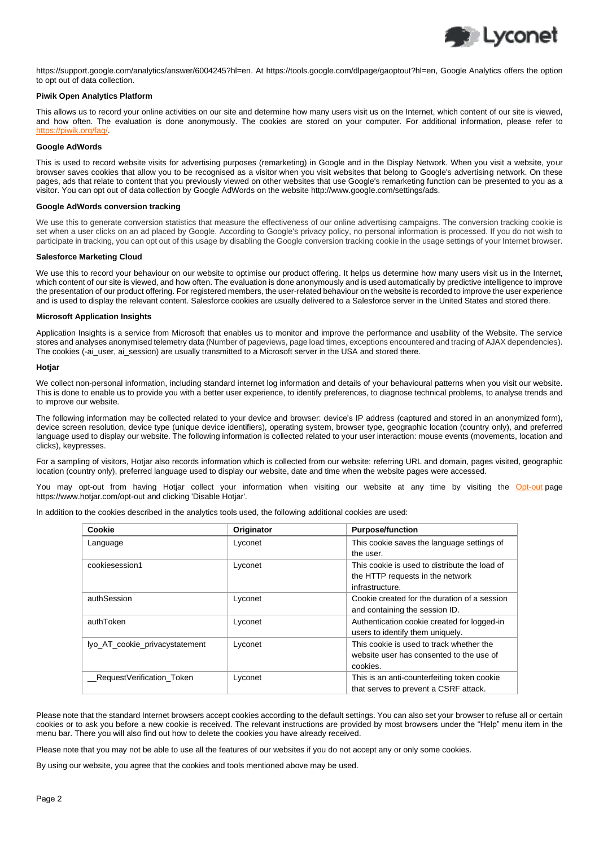

[https://support.google.com/analytics/answer/6004245?hl=en.](https://support.google.com/analytics/answer/6004245?hl=en) At [https://tools.google.com/dlpage/gaoptout?hl=en,](https://tools.google.com/dlpage/gaoptout?hl=en) Google Analytics offers the option to opt out of data collection.

## **Piwik Open Analytics Platform**

This allows us to record your online activities on our site and determine how many users visit us on the Internet, which content of our site is viewed, and how often. The evaluation is done anonymously. The cookies are stored on your computer. For additional information, please refer to https://piwik.org/faq/. [https://piwik.org/faq/.](https://piwik.org/faq/)

## **Google AdWords**

This is used to record website visits for advertising purposes (remarketing) in Google and in the Display Network. When you visit a website, your browser saves cookies that allow you to be recognised as a visitor when you visit websites that belong to Google's advertising network. On these pages, ads that relate to content that you previously viewed on other websites that use Google's remarketing function can be presented to you as a visitor. You can opt out of data collection by Google AdWords on the website http://www.google.com/settings/ads.

### **Google AdWords conversion tracking**

We use this to generate conversion statistics that measure the effectiveness of our online advertising campaigns. The conversion tracking cookie is set when a user clicks on an ad placed by Google. According to Google's privacy policy, no personal information is processed. If you do not wish to participate in tracking, you can opt out of this usage by disabling the Google conversion tracking cookie in the usage settings of your Internet browser.

## **Salesforce Marketing Cloud**

We use this to record your behaviour on our website to optimise our product offering. It helps us determine how many users visit us in the Internet, which content of our site is viewed, and how often. The evaluation is done anonymously and is used automatically by predictive intelligence to improve the presentation of our product offering. For registered members, the user-related behaviour on the website is recorded to improve the user experience and is used to display the relevant content. Salesforce cookies are usually delivered to a Salesforce server in the United States and stored there.

## **Microsoft Application Insights**

Application Insights is a service from Microsoft that enables us to monitor and improve the performance and usability of the Website. The service stores and analyses anonymised telemetry data (Number of pageviews, page load times, exceptions encountered and tracing of AJAX dependencies). The cookies (-ai\_user, ai\_session) are usually transmitted to a Microsoft server in the USA and stored there.

#### **Hotjar**

We collect non-personal information, including standard internet log information and details of your behavioural patterns when you visit our website. This is done to enable us to provide you with a better user experience, to identify preferences, to diagnose technical problems, to analyse trends and to improve our website.

The following information may be collected related to your device and browser: device's IP address (captured and stored in an anonymized form), device screen resolution, device type (unique device identifiers), operating system, browser type, geographic location (country only), and preferred language used to display our website. The following information is collected related to your user interaction: mouse events (movements, location and clicks), keypresses.

For a sampling of visitors, Hotjar also records information which is collected from our website: referring URL and domain, pages visited, geographic location (country only), preferred language used to display our website, date and time when the website pages were accessed.

You may opt-out from having Hotjar collect your information when visiting our website at any time by visiting the [Opt-out](https://www.hotjar.com/opt-out) page https://www.hotjar.com/opt-out and clicking 'Disable Hotjar'.

In addition to the cookies described in the analytics tools used, the following additional cookies are used:

| Cookie                         | Originator | <b>Purpose/function</b>                       |
|--------------------------------|------------|-----------------------------------------------|
| Language                       | Lyconet    | This cookie saves the language settings of    |
|                                |            | the user.                                     |
| cookiesession1                 | Lyconet    | This cookie is used to distribute the load of |
|                                |            | the HTTP requests in the network              |
|                                |            | infrastructure.                               |
| authSession                    | Lyconet    | Cookie created for the duration of a session  |
|                                |            | and containing the session ID.                |
| authToken                      | Lyconet    | Authentication cookie created for logged-in   |
|                                |            | users to identify them uniquely.              |
| lyo_AT_cookie_privacystatement | Lyconet    | This cookie is used to track whether the      |
|                                |            | website user has consented to the use of      |
|                                |            | cookies.                                      |
| RequestVerification Token      | Lyconet    | This is an anti-counterfeiting token cookie   |
|                                |            | that serves to prevent a CSRF attack.         |

Please note that the standard Internet browsers accept cookies according to the default settings. You can also set your browser to refuse all or certain cookies or to ask you before a new cookie is received. The relevant instructions are provided by most browsers under the "Help" menu item in the menu bar. There you will also find out how to delete the cookies you have already received.

Please note that you may not be able to use all the features of our websites if you do not accept any or only some cookies.

By using our website, you agree that the cookies and tools mentioned above may be used.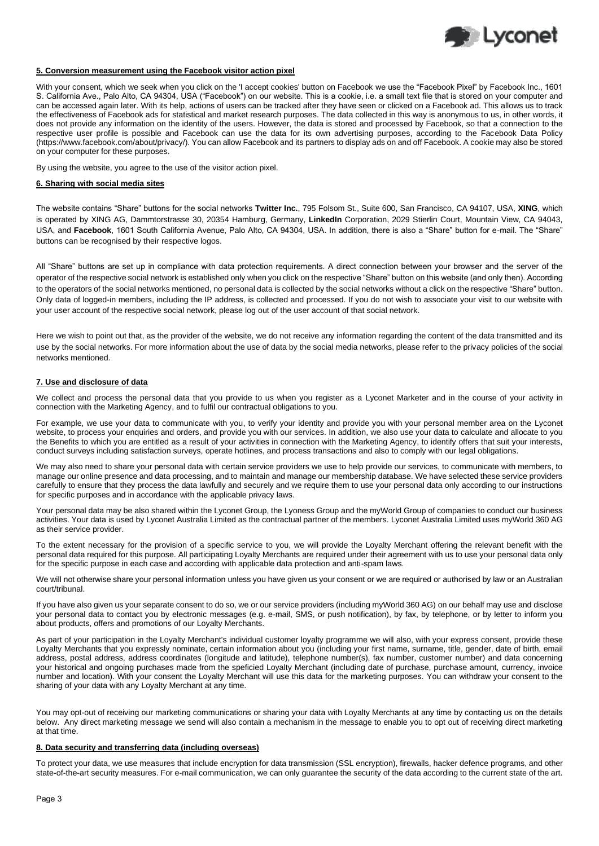

## **5. Conversion measurement using the Facebook visitor action pixel**

With your consent, which we seek when you click on the 'I accept cookies' button on Facebook we use the "Facebook Pixel" by Facebook Inc., 1601 S. California Ave., Palo Alto, CA 94304, USA ("Facebook") on our website. This is a cookie, i.e. a small text file that is stored on your computer and can be accessed again later. With its help, actions of users can be tracked after they have seen or clicked on a Facebook ad. This allows us to track the effectiveness of Facebook ads for statistical and market research purposes. The data collected in this way is anonymous to us, in other words, it does not provide any information on the identity of the users. However, the data is stored and processed by Facebook, so that a connection to the respective user profile is possible and Facebook can use the data for its own advertising purposes, according to the Facebook Data Policy (https://www.facebook.com/about/privacy/). You can allow Facebook and its partners to display ads on and off Facebook. A cookie may also be stored on your computer for these purposes.

By using the website, you agree to the use of the visitor action pixel.

#### **6. Sharing with social media sites**

The website contains "Share" buttons for the social networks **Twitter Inc.**, 795 Folsom St., Suite 600, San Francisco, CA 94107, USA, **XING**, which is operated by XING AG, Dammtorstrasse 30, 20354 Hamburg, Germany, **LinkedIn** Corporation, 2029 Stierlin Court, Mountain View, CA 94043, USA, and **Facebook**, 1601 South California Avenue, Palo Alto, CA 94304, USA. In addition, there is also a "Share" button for e-mail. The "Share" buttons can be recognised by their respective logos.

All "Share" buttons are set up in compliance with data protection requirements. A direct connection between your browser and the server of the operator of the respective social network is established only when you click on the respective "Share" button on this website (and only then). According to the operators of the social networks mentioned, no personal data is collected by the social networks without a click on the respective "Share" button. Only data of logged-in members, including the IP address, is collected and processed. If you do not wish to associate your visit to our website with your user account of the respective social network, please log out of the user account of that social network.

Here we wish to point out that, as the provider of the website, we do not receive any information regarding the content of the data transmitted and its use by the social networks. For more information about the use of data by the social media networks, please refer to the privacy policies of the social networks mentioned.

#### **7. Use and disclosure of data**

We collect and process the personal data that you provide to us when you register as a Lyconet Marketer and in the course of your activity in connection with the Marketing Agency, and to fulfil our contractual obligations to you.

For example, we use your data to communicate with you, to verify your identity and provide you with your personal member area on the Lyconet website, to process your enquiries and orders, and provide you with our services. In addition, we also use your data to calculate and allocate to you the Benefits to which you are entitled as a result of your activities in connection with the Marketing Agency, to identify offers that suit your interests, conduct surveys including satisfaction surveys, operate hotlines, and process transactions and also to comply with our legal obligations.

We may also need to share your personal data with certain service providers we use to help provide our services, to communicate with members, to manage our online presence and data processing, and to maintain and manage our membership database. We have selected these service providers carefully to ensure that they process the data lawfully and securely and we require them to use your personal data only according to our instructions for specific purposes and in accordance with the applicable privacy laws.

Your personal data may be also shared within the Lyconet Group, the Lyoness Group and the myWorld Group of companies to conduct our business activities. Your data is used by Lyconet Australia Limited as the contractual partner of the members. Lyconet Australia Limited uses myWorld 360 AG as their service provider.

To the extent necessary for the provision of a specific service to you, we will provide the Loyalty Merchant offering the relevant benefit with the personal data required for this purpose. All participating Loyalty Merchants are required under their agreement with us to use your personal data only for the specific purpose in each case and according with applicable data protection and anti-spam laws.

We will not otherwise share your personal information unless you have given us your consent or we are required or authorised by law or an Australian court/tribunal.

If you have also given us your separate consent to do so, we or our service providers (including myWorld 360 AG) on our behalf may use and disclose your personal data to contact you by electronic messages (e.g. e-mail, SMS, or push notification), by fax, by telephone, or by letter to inform you about products, offers and promotions of our Loyalty Merchants.

As part of your participation in the Loyalty Merchant's individual customer loyalty programme we will also, with your express consent, provide these Loyalty Merchants that you expressly nominate, certain information about you (including your first name, surname, title, gender, date of birth, email address, postal address, address coordinates (longitude and latitude), telephone number(s), fax number, customer number) and data concerning your historical and ongoing purchases made from the speficied Loyalty Merchant (including date of purchase, purchase amount, currency, invoice number and location). With your consent the Loyalty Merchant will use this data for the marketing purposes. You can withdraw your consent to the sharing of your data with any Loyalty Merchant at any time.

You may opt-out of receiving our marketing communications or sharing your data with Loyalty Merchants at any time by contacting us on the details below. Any direct marketing message we send will also contain a mechanism in the message to enable you to opt out of receiving direct marketing at that time.

#### **8. Data security and transferring data (including overseas)**

To protect your data, we use measures that include encryption for data transmission (SSL encryption), firewalls, hacker defence programs, and other state-of-the-art security measures. For e-mail communication, we can only guarantee the security of the data according to the current state of the art.